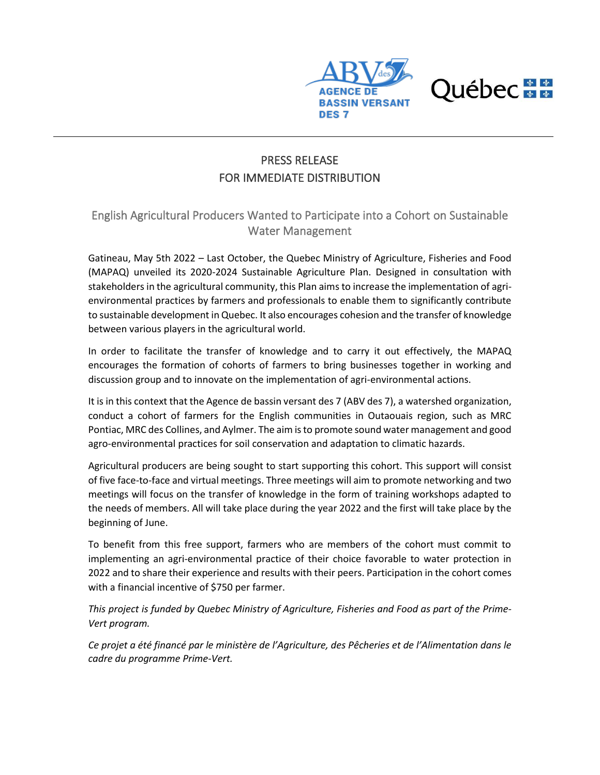



## PRESS RELEASE FOR IMMEDIATE DISTRIBUTION

## English Agricultural Producers Wanted to Participate into a Cohort on Sustainable Water Management

Gatineau, May 5th 2022 – Last October, the Quebec Ministry of Agriculture, Fisheries and Food (MAPAQ) unveiled its 2020-2024 Sustainable Agriculture Plan. Designed in consultation with stakeholders in the agricultural community, this Plan aims to increase the implementation of agrienvironmental practices by farmers and professionals to enable them to significantly contribute to sustainable development in Quebec. It also encourages cohesion and the transfer of knowledge between various players in the agricultural world.

In order to facilitate the transfer of knowledge and to carry it out effectively, the MAPAQ encourages the formation of cohorts of farmers to bring businesses together in working and discussion group and to innovate on the implementation of agri-environmental actions.

It is in this context that the Agence de bassin versant des 7 (ABV des 7), a watershed organization, conduct a cohort of farmers for the English communities in Outaouais region, such as MRC Pontiac, MRC des Collines, and Aylmer. The aim is to promote sound water management and good agro-environmental practices for soil conservation and adaptation to climatic hazards.

Agricultural producers are being sought to start supporting this cohort. This support will consist of five face-to-face and virtual meetings. Three meetings will aim to promote networking and two meetings will focus on the transfer of knowledge in the form of training workshops adapted to the needs of members. All will take place during the year 2022 and the first will take place by the beginning of June.

To benefit from this free support, farmers who are members of the cohort must commit to implementing an agri-environmental practice of their choice favorable to water protection in 2022 and to share their experience and results with their peers. Participation in the cohort comes with a financial incentive of \$750 per farmer.

*This project is funded by Quebec Ministry of Agriculture, Fisheries and Food as part of the Prime-Vert program.*

*Ce projet a été financé par le ministère de l'Agriculture, des Pêcheries et de l'Alimentation dans le cadre du programme Prime-Vert.*